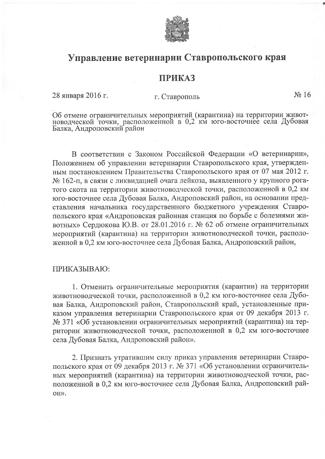

## Управление ветеринарии Ставропольского края

## **ПРИКАЗ**

28 января 2016 г.

## г. Ставрополь

 $N_2$  16

Об отмене ограничительных мероприятий (карантина) на территории живот-новодческой точки, расположенной в 0,2 км юго-восточнее села Дубовая Балка, Андроповский район

В соответствии с Законом Российской Федерации «О ветеринарии», Положением об управлении ветеринарии Ставропольского края, утвержденным постановлением Правительства Ставропольского края от 07 мая 2012 г. № 162-п, в связи с ликвидацией очага лейкоза, выявленного у крупного рогатого скота на территории животноводческой точки, расположенной в 0,2 км юго-восточнее села Дубовая Балка, Андроповский район, на основании представления начальника государственного бюджетного учреждения Ставропольского края «Андроповская районная станция по борьбе с болезнями животных» Сердюкова Ю.В. от 28.01.2016 г. № 62 об отмене ограничительных мероприятий (карантина) на территории животноводческой точки, расположенной в 0,2 км юго-восточнее села Дубовая Балка, Андроповский район,

## ПРИКАЗЫВАЮ:

1. Отменить ограничительные мероприятия (карантин) на территории животноводческой точки, расположенной в 0,2 км юго-восточнее села Дубовая Балка, Андроповский район, Ставропольский край, установленные приказом управления ветеринарии Ставропольского края от 09 декабря 2013 г. № 371 «Об установлении ограничительных мероприятий (карантина) на территории животноводческой точки, расположенной в 0,2 км юго-восточнее села Дубовая Балка, Андроповский район».

2. Признать утратившим силу приказ управления ветеринарии Ставропольского края от 09 декабря 2013 г. № 371 «Об установлении ограничительных мероприятий (карантина) на территории животноводческой точки, расположенной в 0,2 км юго-восточнее села Дубовая Балка, Андроповский рай-OH».